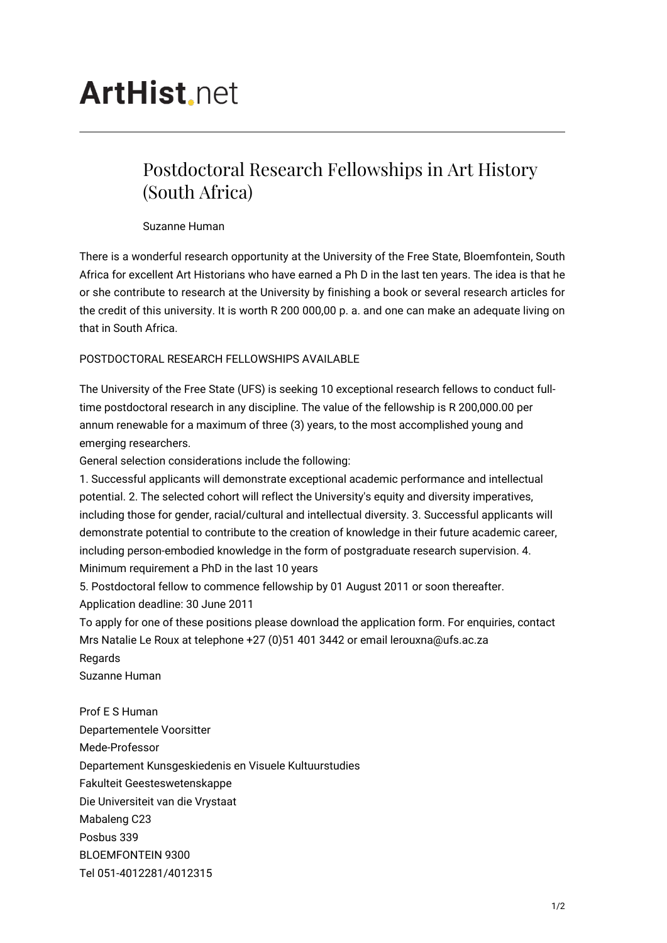## **ArtHist** net

## Postdoctoral Research Fellowships in Art History (South Africa)

Suzanne Human

There is a wonderful research opportunity at the University of the Free State, Bloemfontein, South Africa for excellent Art Historians who have earned a Ph D in the last ten years. The idea is that he or she contribute to research at the University by finishing a book or several research articles for the credit of this university. It is worth R 200 000,00 p. a. and one can make an adequate living on that in South Africa.

## POSTDOCTORAL RESEARCH FELLOWSHIPS AVAILABLE

The University of the Free State (UFS) is seeking 10 exceptional research fellows to conduct fulltime postdoctoral research in any discipline. The value of the fellowship is R 200,000.00 per annum renewable for a maximum of three (3) years, to the most accomplished young and emerging researchers.

General selection considerations include the following:

1. Successful applicants will demonstrate exceptional academic performance and intellectual potential. 2. The selected cohort will reflect the University's equity and diversity imperatives, including those for gender, racial/cultural and intellectual diversity. 3. Successful applicants will demonstrate potential to contribute to the creation of knowledge in their future academic career, including person-embodied knowledge in the form of postgraduate research supervision. 4. Minimum requirement a PhD in the last 10 years

5. Postdoctoral fellow to commence fellowship by 01 August 2011 or soon thereafter.

Application deadline: 30 June 2011

To apply for one of these positions please download the application form. For enquiries, contact Mrs Natalie Le Roux at telephone +27 (0)51 401 3442 or email lerouxna@ufs.ac.za

Regards

Suzanne Human

Prof E S Human Departementele Voorsitter Mede-Professor Departement Kunsgeskiedenis en Visuele Kultuurstudies Fakulteit Geesteswetenskappe Die Universiteit van die Vrystaat Mabaleng C23 Posbus 339 BLOEMFONTEIN 9300 Tel 051-4012281/4012315